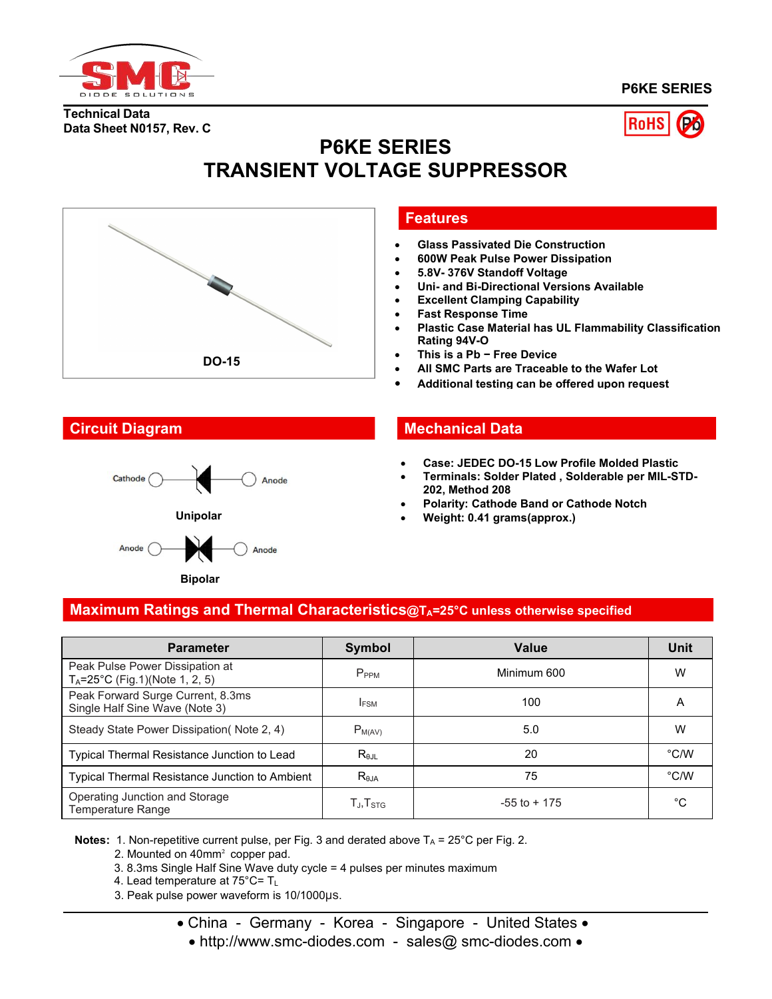

**Data Sheet N0157, Rev. C**

**Technical Data**

**P6KE SERIES**



# **P6KE SERIES TRANSIENT VOLTAGE SUPPRESSOR**





## **Features**

- **Glass Passivated Die Construction**
- **600W Peak Pulse Power Dissipation**
- **5.8V- 376V Standoff Voltage**
- **Uni- and Bi-Directional Versions Available**
- **Excellent Clamping Capability**
- **Fast Response Time**
- **Plastic Case Material has UL Flammability Classification Rating 94V-O**
- **This is a Pb − Free Device**
- **All SMC Parts are Traceable to the Wafer Lot**
- **Additional testing can be offered upon request**

## **Circuit Diagram Mechanical Data**

- **Case: JEDEC DO-15 Low Profile Molded Plastic**
- **Terminals: Solder Plated , Solderable per MIL-STD- 202, Method 208**
- **Polarity: Cathode Band or Cathode Notch**
- **Weight: 0.41 grams(approx.)**

# **Maximum Ratings and Thermal Characteristics@TA=25°C unless otherwise specified**

| <b>Parameter</b>                                                             | <b>Symbol</b>                                        | Value           | <b>Unit</b>   |
|------------------------------------------------------------------------------|------------------------------------------------------|-----------------|---------------|
| Peak Pulse Power Dissipation at<br>$T_A = 25^{\circ}C$ (Fig.1)(Note 1, 2, 5) | P <sub>PPM</sub>                                     | Minimum 600     | W             |
| Peak Forward Surge Current, 8.3ms<br>Single Half Sine Wave (Note 3)          | <b>IFSM</b>                                          | 100             | A             |
| Steady State Power Dissipation (Note 2, 4)                                   | $P_{M(AV)}$                                          | 5.0             | W             |
| Typical Thermal Resistance Junction to Lead                                  | $R_{\theta JL}$                                      | 20              | $\degree$ C/W |
| Typical Thermal Resistance Junction to Ambient                               | $R_{\theta$ JA                                       | 75              | $\degree$ C/W |
| Operating Junction and Storage<br>Temperature Range                          | $\mathsf{T}_{\mathsf{J}}, \mathsf{T}_{\mathsf{STG}}$ | $-55$ to $+175$ | °C            |

**Notes:** 1. Non-repetitive current pulse, per Fig. 3 and derated above  $T_A = 25^{\circ}C$  per Fig. 2.

2. Mounted on 40mm² copper pad.

3. 8.3ms Single Half Sine Wave duty cycle = 4 pulses per minutes maximum

4. Lead temperature at 75°C= T<sup>L</sup>

3. Peak pulse power waveform is 10/1000μs.

• China - Germany - Korea - Singapore - United States •

• http://www.smc-diodes.com - sales@ smc-diodes.com •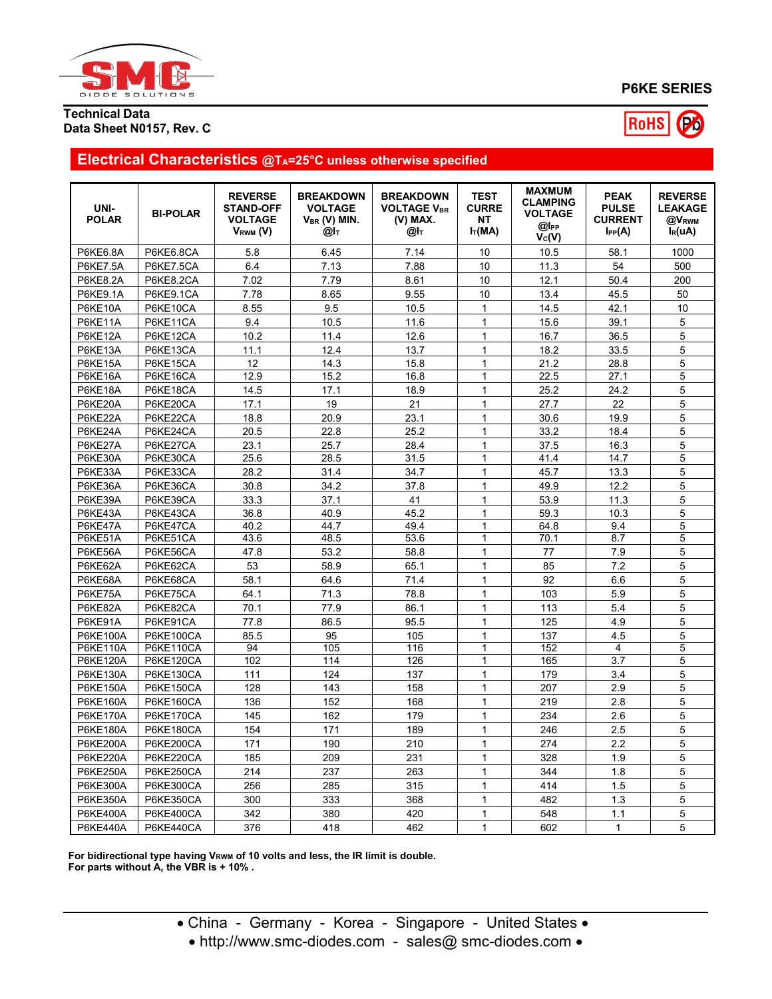

# **P6KE SERIES**



### **Technical Data Data Sheet N0157, Rev. C**

# **Electrical Characteristics @TA=25°C unless otherwise specified**

| UNI-<br><b>POLAR</b>        | <b>BI-POLAR</b>                      | <b>REVERSE</b><br><b>STAND-OFF</b><br><b>VOLTAGE</b><br>$V_{RWM} (V)$ | <b>BREAKDOWN</b><br><b>VOLTAGE</b><br>$V_{BR}$ (V) MIN.<br>@Іт | <b>BREAKDOWN</b><br><b>VOLTAGE VBR</b><br>(V) MAX.<br>@l⊤ | <b>TEST</b><br><b>CURRE</b><br>NT<br>$I_T(MA)$ | <b>MAXMUM</b><br><b>CLAMPING</b><br><b>VOLTAGE</b><br>@l <sub>PP</sub><br>$V_c(V)$ | <b>PEAK</b><br><b>PULSE</b><br><b>CURRENT</b><br>$I_{PP}(A)$ | <b>REVERSE</b><br><b>LEAKAGE</b><br>@V <sub>RWM</sub><br>$I_R(uA)$ |
|-----------------------------|--------------------------------------|-----------------------------------------------------------------------|----------------------------------------------------------------|-----------------------------------------------------------|------------------------------------------------|------------------------------------------------------------------------------------|--------------------------------------------------------------|--------------------------------------------------------------------|
| P6KE6.8A                    | P6KE6.8CA                            | 5.8                                                                   | 6.45                                                           | 7.14                                                      | 10                                             | 10.5                                                                               | 58.1                                                         | 1000                                                               |
| <b>P6KE7.5A</b>             | P6KE7.5CA                            | 6.4                                                                   | 7.13                                                           | 7.88                                                      | 10                                             | 11.3                                                                               | 54                                                           | 500                                                                |
| <b>P6KE8.2A</b>             | P6KE8.2CA                            | 7.02                                                                  | 7.79                                                           | 8.61                                                      | 10                                             | 12.1                                                                               | 50.4                                                         | 200                                                                |
| P6KE9.1A                    | P6KE9.1CA                            | 7.78                                                                  | 8.65                                                           | 9.55                                                      | 10                                             | 13.4                                                                               | 45.5                                                         | 50                                                                 |
| <b>P6KE10A</b>              | P6KE10CA                             | 8.55                                                                  | 9.5                                                            | 10.5                                                      | $\mathbf{1}$                                   | 14.5                                                                               | 42.1                                                         | 10                                                                 |
| P6KE11A                     | P6KE11CA                             | 9.4                                                                   | 10.5                                                           | 11.6                                                      | $\mathbf{1}$                                   | 15.6                                                                               | 39.1                                                         | 5                                                                  |
| P6KE12A                     | P6KE12CA                             | 10.2                                                                  | 11.4                                                           | 12.6                                                      | $\mathbf{1}$                                   | 16.7                                                                               | 36.5                                                         | 5                                                                  |
| P6KE13A                     | P6KE13CA                             | 11.1                                                                  | 12.4                                                           | 13.7                                                      | $\mathbf{1}$                                   | 18.2                                                                               | 33.5                                                         | 5                                                                  |
| P6KE15A                     | P6KE15CA                             | 12                                                                    | 14.3                                                           | 15.8                                                      | $\mathbf{1}$                                   | 21.2                                                                               | 28.8                                                         | 5                                                                  |
| P6KE16A                     | P6KE16CA                             | 12.9                                                                  | 15.2                                                           | 16.8                                                      | $\mathbf{1}$                                   | 22.5                                                                               | 27.1                                                         | 5                                                                  |
| P6KE18A                     | P6KE18CA                             | 14.5                                                                  | 17.1                                                           | 18.9                                                      | $\mathbf{1}$                                   | 25.2                                                                               | 24.2                                                         | 5                                                                  |
| P6KE20A                     | P6KE20CA                             | 17.1                                                                  | 19                                                             | 21                                                        | $\mathbf 1$                                    | 27.7                                                                               | 22                                                           | 5                                                                  |
| P6KE22A                     | P6KE22CA                             | 18.8                                                                  | 20.9                                                           | 23.1                                                      | $\mathbf{1}$                                   | 30.6                                                                               | 19.9                                                         | 5                                                                  |
| P6KE24A                     | P6KE24CA                             | 20.5                                                                  | 22.8                                                           | 25.2                                                      | $\mathbf{1}$                                   | 33.2                                                                               | 18.4                                                         | 5                                                                  |
| P6KE27A                     | P6KE27CA                             | 23.1                                                                  | 25.7                                                           | 28.4                                                      | $\mathbf{1}$                                   | 37.5                                                                               | 16.3                                                         | 5                                                                  |
| P6KE30A                     | P6KE30CA                             | 25.6                                                                  | 28.5                                                           | 31.5                                                      | $\mathbf{1}$                                   | 41.4                                                                               | 14.7                                                         | 5                                                                  |
| P6KE33A                     | P6KE33CA                             | 28.2                                                                  | 31.4                                                           | 34.7                                                      | $\mathbf{1}$                                   | 45.7                                                                               | 13.3                                                         | 5                                                                  |
| P6KE36A                     | P6KE36CA                             | 30.8                                                                  | 34.2                                                           | 37.8                                                      | $\mathbf{1}$                                   | 49.9                                                                               | 12.2                                                         | 5                                                                  |
| P6KE39A                     | P6KE39CA                             | 33.3                                                                  | 37.1                                                           | 41                                                        | $\mathbf 1$                                    | 53.9                                                                               | 11.3                                                         | 5                                                                  |
| P6KE43A                     | P6KE43CA                             |                                                                       | 40.9                                                           | 45.2                                                      | $\mathbf{1}$                                   | 59.3                                                                               | 10.3                                                         | 5                                                                  |
| P6KE47A                     | P6KE47CA                             | 36.8<br>40.2                                                          | 44.7                                                           | 49.4                                                      | $\mathbf{1}$                                   | 64.8                                                                               | 9.4                                                          | 5                                                                  |
| P6KE51A                     | P6KE51CA                             | 43.6                                                                  | 48.5                                                           | 53.6                                                      | $\mathbf{1}$                                   | 70.1                                                                               | 8.7                                                          | 5                                                                  |
| P6KE56A                     | P6KE56CA                             | 47.8                                                                  | 53.2                                                           | 58.8                                                      | $\mathbf{1}$                                   | 77                                                                                 | 7.9                                                          | 5                                                                  |
| P6KE62A                     | P6KE62CA                             | 53                                                                    | 58.9                                                           | 65.1                                                      | $\mathbf{1}$                                   | 85                                                                                 | 7.2                                                          | 5                                                                  |
| P6KE68A                     | P6KE68CA                             | 58.1                                                                  | 64.6                                                           | 71.4                                                      | $\mathbf{1}$                                   | 92                                                                                 | 6.6                                                          | 5                                                                  |
| P6KE75A                     | P6KE75CA                             | 64.1                                                                  | 71.3                                                           | 78.8                                                      | $\mathbf{1}$                                   | 103                                                                                | 5.9                                                          | 5                                                                  |
|                             |                                      | 70.1                                                                  | 77.9                                                           | 86.1                                                      | $\mathbf{1}$                                   | 113                                                                                | 5.4                                                          | 5                                                                  |
| P6KE82A                     | P6KE82CA                             |                                                                       |                                                                |                                                           | $\mathbf{1}$                                   |                                                                                    |                                                              |                                                                    |
| P6KE91A                     | P6KE91CA                             | 77.8                                                                  | 86.5                                                           | 95.5                                                      |                                                | 125                                                                                | 4.9                                                          | 5                                                                  |
| P6KE100A<br><b>P6KE110A</b> | <b>P6KE100CA</b><br><b>P6KE110CA</b> | 85.5<br>94                                                            | 95<br>105                                                      | 105<br>116                                                | $\mathbf 1$<br>$\overline{1}$                  | 137<br>152                                                                         | 4.5<br>4                                                     | 5<br>5                                                             |
| P6KE120A                    | P6KE120CA                            | 102                                                                   | 114                                                            | 126                                                       | $\mathbf{1}$                                   | 165                                                                                | 3.7                                                          | 5                                                                  |
| <b>P6KE130A</b>             | P6KE130CA                            | 111                                                                   | 124                                                            | 137                                                       | $\mathbf{1}$                                   | 179                                                                                | 3.4                                                          | 5                                                                  |
| P6KE150A                    | P6KE150CA                            | 128                                                                   | 143                                                            | 158                                                       | $\mathbf{1}$                                   | 207                                                                                | 2.9                                                          | 5                                                                  |
| P6KE160A                    | P6KE160CA                            | 136                                                                   | 152                                                            | 168                                                       | $\mathbf 1$                                    | 219                                                                                | 2.8                                                          | 5                                                                  |
| <b>P6KE170A</b>             | P6KE170CA                            | 145                                                                   | 162                                                            | 179                                                       | $\mathbf{1}$                                   | 234                                                                                | 2.6                                                          | 5                                                                  |
| P6KE180A                    |                                      | 154                                                                   | 171                                                            | 189                                                       | $\mathbf{1}$                                   | 246                                                                                |                                                              | 5                                                                  |
|                             | P6KE180CA                            |                                                                       |                                                                |                                                           |                                                |                                                                                    | 2.5                                                          |                                                                    |
| <b>P6KE200A</b>             | <b>P6KE200CA</b>                     | 171                                                                   | 190                                                            | 210                                                       | $\mathbf{1}$                                   | 274                                                                                | 2.2                                                          | 5                                                                  |
| <b>P6KE220A</b>             | P6KE220CA                            | 185                                                                   | 209                                                            | 231                                                       | $\mathbf{1}$                                   | 328                                                                                | 1.9                                                          | 5                                                                  |
| <b>P6KE250A</b>             | P6KE250CA                            | 214                                                                   | 237                                                            | 263                                                       | $\mathbf 1$                                    | 344                                                                                | 1.8                                                          | 5                                                                  |
| P6KE300A                    | P6KE300CA                            | 256                                                                   | 285                                                            | 315                                                       | $\mathbf{1}$                                   | 414                                                                                | 1.5                                                          | 5                                                                  |
| <b>P6KE350A</b>             | P6KE350CA                            | 300                                                                   | 333                                                            | 368                                                       | $\mathbf{1}$                                   | 482                                                                                | 1.3                                                          | 5                                                                  |
| <b>P6KE400A</b>             | P6KE400CA                            | 342                                                                   | 380                                                            | 420                                                       | $\mathbf{1}$                                   | 548                                                                                | 1.1                                                          | 5                                                                  |
| <b>P6KE440A</b>             | P6KE440CA                            | 376                                                                   | 418                                                            | 462                                                       | $\mathbf{1}$                                   | 602                                                                                | $\mathbf{1}$                                                 | 5                                                                  |

**For bidirectional type having VRWM of 10 volts and less, the IR limit is double.**

**For parts without A, the VBR is + 10% .**

China - Germany - Korea - Singapore - United States

• http://www.smc-diodes.com - sales@ smc-diodes.com •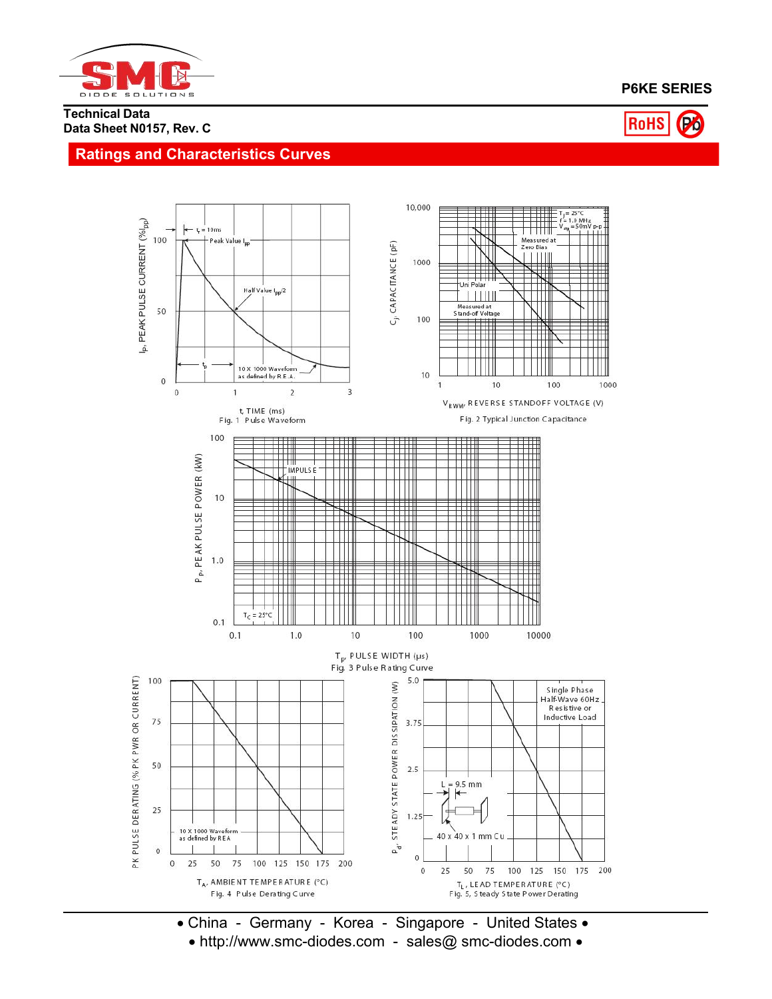

# **P6KE SERIES**

#### **Technical Data Data Sheet N0157, Rev. C**



## **Ratings and Characteristics Curves**



 China - Germany - Korea - Singapore - United States http://www.smc-diodes.com - sales@ smc-diodes.com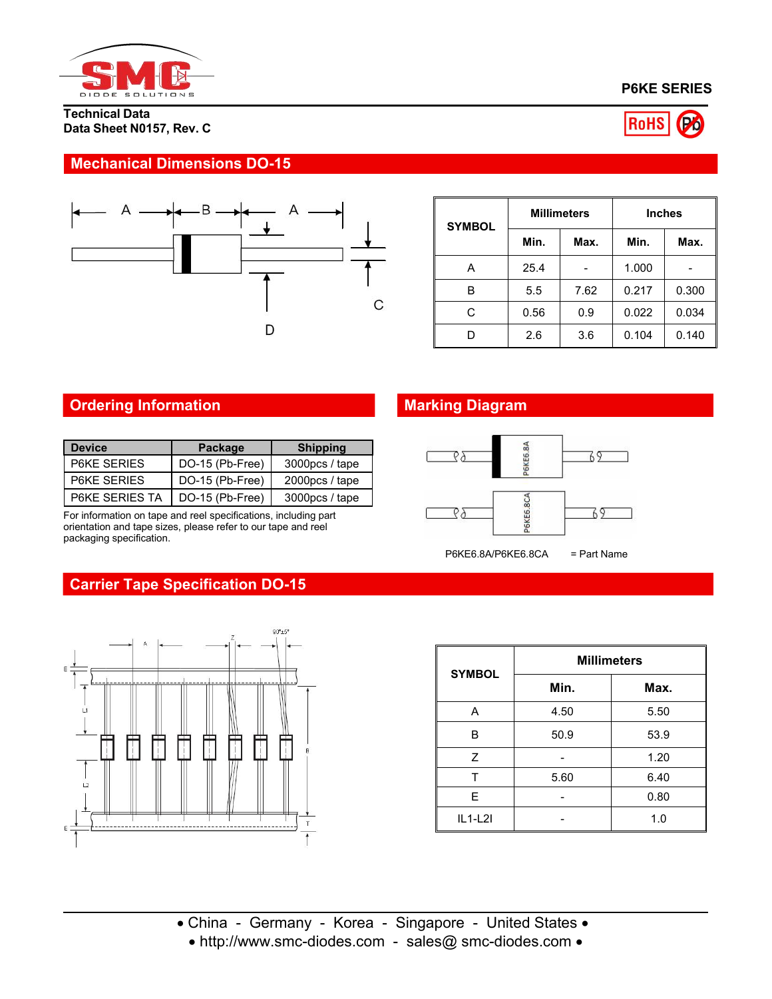

**Technical Data Data Sheet N0157, Rev. C**





# **Mechanical Dimensions DO-15**



| <b>SYMBOL</b> |      | <b>Millimeters</b>       | <b>Inches</b> |       |  |
|---------------|------|--------------------------|---------------|-------|--|
|               | Min. | Max.                     | Min.          | Max.  |  |
| Α             | 25.4 | $\overline{\phantom{0}}$ | 1.000         |       |  |
| B             | 5.5  | 7.62                     | 0.217         | 0.300 |  |
| С             | 0.56 | 0.9                      | 0.022         | 0.034 |  |
| D             | 2.6  | 3.6                      | 0.104         | 0.140 |  |

# **Ordering Information Marking Diagram**

| <b>Device</b>      | Package         | <b>Shipping</b> |
|--------------------|-----------------|-----------------|
| <b>P6KE SERIES</b> | DO-15 (Pb-Free) | 3000pcs / tape  |
| <b>P6KE SERIES</b> | DO-15 (Pb-Free) | $2000pcs/$ tape |
| P6KE SERIES TA     | DO-15 (Pb-Free) | 3000pcs / tape  |

For information on tape and reel specifications, including part orientation and tape sizes, please refer to our tape and reel packaging specification.



**Carrier Tape Specification DO-15**



| <b>SYMBOL</b> | <b>Millimeters</b> |      |  |  |  |
|---------------|--------------------|------|--|--|--|
|               | Min.               | Max. |  |  |  |
| Α             | 4.50               | 5.50 |  |  |  |
| B             | 50.9               | 53.9 |  |  |  |
| Z             |                    | 1.20 |  |  |  |
|               | 5.60               | 6.40 |  |  |  |
| E             |                    | 0.80 |  |  |  |
| $IL1-L2I$     |                    | 1.0  |  |  |  |